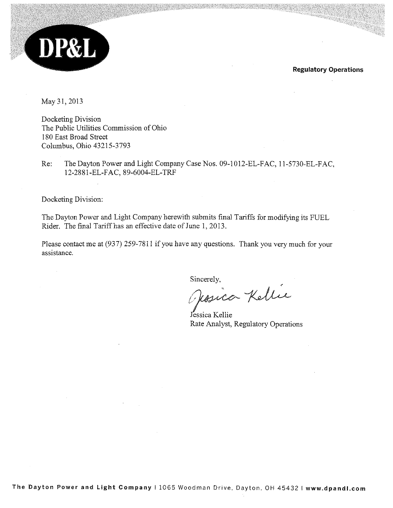

**Regulatory Operations** 

May 31, 2013

Docketing Division The Public Utilities Commission of Ohio 180 East Broad Street Columbus, Ohio 43215-3793

The Dayton Power and Light Company Case Nos. 09-1012-EL-FAC, 11-5730-EL-FAC, Re: 12-2881-EL-FAC, 89-6004-EL-TRF

Docketing Division:

The Dayton Power and Light Company herewith submits final Tariffs for modifying its FUEL Rider. The final Tariff has an effective date of June 1, 2013.

Please contact me at (937) 259-7811 if you have any questions. Thank you very much for your assistance.

Sincerely,

Thosica Kellie

Jessica Kellie Rate Analyst, Regulatory Operations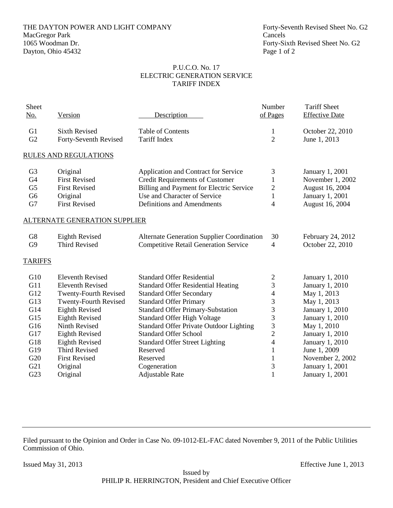# THE DAYTON POWER AND LIGHT COMPANY Forty-Seventh Revised Sheet No. G2 MacGregor Park Cancels<br>1065 Woodman Dr. Forty-Si Dayton, Ohio 45432 Page 1 of 2

Forty-Sixth Revised Sheet No. G2

#### P.U.C.O. No. 17 ELECTRIC GENERATION SERVICE TARIFF INDEX

| Sheet<br>No.   | Version                       | Description                                       | Number<br>of Pages | <b>Tariff Sheet</b><br><b>Effective Date</b> |
|----------------|-------------------------------|---------------------------------------------------|--------------------|----------------------------------------------|
|                |                               |                                                   |                    |                                              |
| G1             | <b>Sixth Revised</b>          | Table of Contents                                 | 1                  | October 22, 2010                             |
| G2             | Forty-Seventh Revised         | <b>Tariff Index</b>                               | $\overline{2}$     | June 1, 2013                                 |
|                | <b>RULES AND REGULATIONS</b>  |                                                   |                    |                                              |
| G <sub>3</sub> | Original                      | Application and Contract for Service              | 3                  | <b>January 1, 2001</b>                       |
| G <sub>4</sub> | <b>First Revised</b>          | <b>Credit Requirements of Customer</b>            | 1                  | November 1, 2002                             |
| G <sub>5</sub> | <b>First Revised</b>          | Billing and Payment for Electric Service          | $\overline{c}$     | August 16, 2004                              |
| G <sub>6</sub> | Original                      | Use and Character of Service                      | $\mathbf{1}$       | January 1, 2001                              |
| G7             | <b>First Revised</b>          | Definitions and Amendments                        | $\overline{4}$     | August 16, 2004                              |
|                | ALTERNATE GENERATION SUPPLIER |                                                   |                    |                                              |
| G8             | <b>Eighth Revised</b>         | <b>Alternate Generation Supplier Coordination</b> | 30                 | February 24, 2012                            |
| G <sub>9</sub> | <b>Third Revised</b>          | <b>Competitive Retail Generation Service</b>      | $\overline{4}$     | October 22, 2010                             |
| <b>TARIFFS</b> |                               |                                                   |                    |                                              |
| G10            | <b>Eleventh Revised</b>       | <b>Standard Offer Residential</b>                 | $\mathfrak{2}$     | January 1, 2010                              |
| G11            | <b>Eleventh Revised</b>       | <b>Standard Offer Residential Heating</b>         | 3                  | January 1, 2010                              |
| G12            | <b>Twenty-Fourth Revised</b>  | <b>Standard Offer Secondary</b>                   | $\overline{4}$     | May 1, 2013                                  |
| G13            | <b>Twenty-Fourth Revised</b>  | <b>Standard Offer Primary</b>                     | 3                  | May 1, 2013                                  |
| G14            | <b>Eighth Revised</b>         | <b>Standard Offer Primary-Substation</b>          | 3                  | January 1, 2010                              |
| G15            | <b>Eighth Revised</b>         | <b>Standard Offer High Voltage</b>                | 3                  | January 1, 2010                              |
| G16            | Ninth Revised                 | <b>Standard Offer Private Outdoor Lighting</b>    | 3                  | May 1, 2010                                  |
| G17            | <b>Eighth Revised</b>         | <b>Standard Offer School</b>                      | $\overline{c}$     | January 1, 2010                              |
| G18            | <b>Eighth Revised</b>         | <b>Standard Offer Street Lighting</b>             | $\overline{4}$     | January 1, 2010                              |
| G19            | <b>Third Revised</b>          | Reserved                                          | $\mathbf{1}$       | June 1, 2009                                 |
| G20            | <b>First Revised</b>          | Reserved                                          | $\mathbf{1}$       | November 2, 2002                             |
| G21            | Original                      | Cogeneration                                      | 3                  | January 1, 2001                              |
| G23            | Original                      | Adjustable Rate                                   | $\mathbf{1}$       | January 1, 2001                              |

Filed pursuant to the Opinion and Order in Case No. 09-1012-EL-FAC dated November 9, 2011 of the Public Utilities Commission of Ohio.

Issued May 31, 2013 Effective June 1, 2013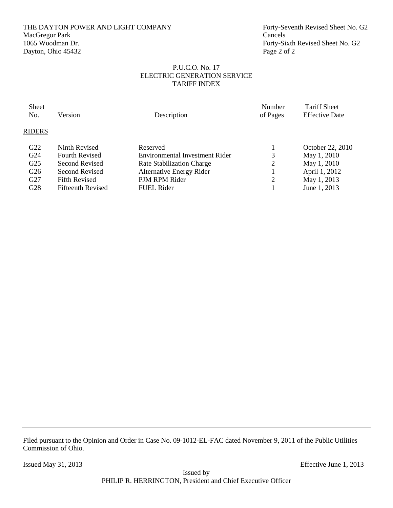# THE DAYTON POWER AND LIGHT COMPANY Forty-Seventh Revised Sheet No. G2 MacGregor Park Cancels<br>1065 Woodman Dr. Forty-Si Dayton, Ohio 45432 Page 2 of 2

Forty-Sixth Revised Sheet No. G2

#### P.U.C.O. No. 17 ELECTRIC GENERATION SERVICE TARIFF INDEX

| Sheet<br><u>No.</u> | Version                  | Description                     | Number<br>of Pages | <b>Tariff Sheet</b><br><b>Effective Date</b> |  |
|---------------------|--------------------------|---------------------------------|--------------------|----------------------------------------------|--|
| <b>RIDERS</b>       |                          |                                 |                    |                                              |  |
| G22                 | Ninth Revised            | Reserved                        |                    | October 22, 2010                             |  |
| G <sub>24</sub>     | <b>Fourth Revised</b>    | Environmental Investment Rider  | 3                  | May 1, 2010                                  |  |
| G <sub>25</sub>     | Second Revised           | Rate Stabilization Charge       | 2                  | May 1, 2010                                  |  |
| G <sub>26</sub>     | Second Revised           | <b>Alternative Energy Rider</b> |                    | April 1, 2012                                |  |
| G27                 | <b>Fifth Revised</b>     | PJM RPM Rider                   | 2                  | May 1, 2013                                  |  |
| G28                 | <b>Fifteenth Revised</b> | <b>FUEL Rider</b>               |                    | June 1, 2013                                 |  |
|                     |                          |                                 |                    |                                              |  |

Filed pursuant to the Opinion and Order in Case No. 09-1012-EL-FAC dated November 9, 2011 of the Public Utilities Commission of Ohio.

Issued May 31, 2013 Effective June 1, 2013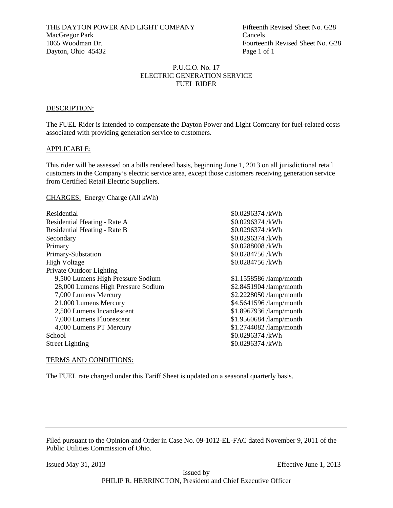#### P.U.C.O. No. 17 ELECTRIC GENERATION SERVICE FUEL RIDER

#### DESCRIPTION:

The FUEL Rider is intended to compensate the Dayton Power and Light Company for fuel-related costs associated with providing generation service to customers.

#### APPLICABLE:

This rider will be assessed on a bills rendered basis, beginning June 1, 2013 on all jurisdictional retail customers in the Company's electric service area, except those customers receiving generation service from Certified Retail Electric Suppliers.

#### CHARGES: Energy Charge (All kWh)

| Residential                        | \$0.0296374 /kWh         |
|------------------------------------|--------------------------|
| Residential Heating - Rate A       | \$0.0296374 /kWh         |
| Residential Heating - Rate B       | \$0.0296374 /kWh         |
| Secondary                          | \$0.0296374 /kWh         |
| Primary                            | \$0.0288008 /kWh         |
| Primary-Substation                 | \$0.0284756/kWh          |
| <b>High Voltage</b>                | \$0.0284756/kWh          |
| Private Outdoor Lighting           |                          |
| 9,500 Lumens High Pressure Sodium  | $$1.1558586$ /lamp/month |
| 28,000 Lumens High Pressure Sodium | \$2.8451904 /lamp/month  |
| 7,000 Lumens Mercury               | \$2.2228050 /lamp/month  |
| 21,000 Lumens Mercury              | \$4.5641596 /lamp/month  |
| 2,500 Lumens Incandescent          | \$1.8967936 /lamp/month  |
| 7,000 Lumens Fluorescent           | \$1.9560684 /lamp/month  |
| 4,000 Lumens PT Mercury            | \$1.2744082 /lamp/month  |
| School                             | \$0.0296374 /kWh         |
| <b>Street Lighting</b>             | \$0.0296374 /kWh         |
|                                    |                          |

#### TERMS AND CONDITIONS:

The FUEL rate charged under this Tariff Sheet is updated on a seasonal quarterly basis.

Filed pursuant to the Opinion and Order in Case No. 09-1012-EL-FAC dated November 9, 2011 of the Public Utilities Commission of Ohio.

Issued May 31, 2013 Effective June 1, 2013